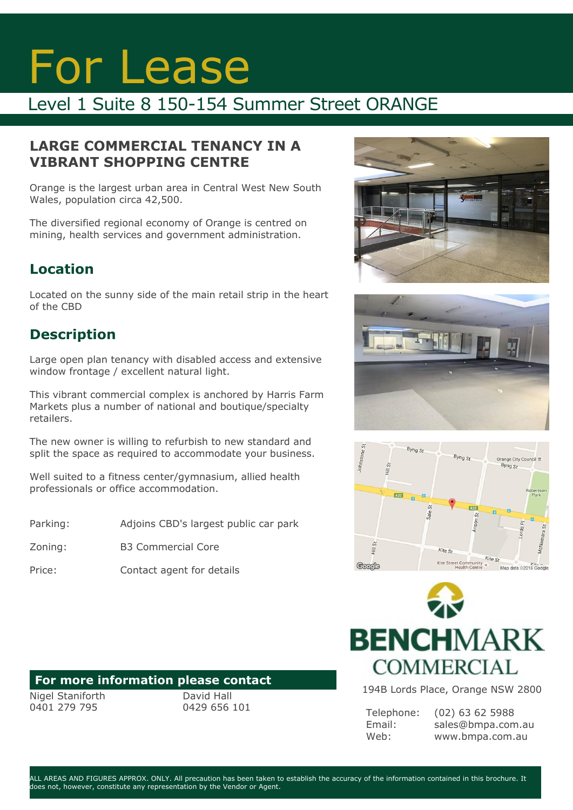# For Lease

## Level 1 Suite 8 150-154 Summer Street ORANGE

#### **LARGE COMMERCIAL TENANCY IN A VIBRANT SHOPPING CENTRE**

Orange is the largest urban area in Central West New South Wales, population circa 42,500.

The diversified regional economy of Orange is centred on mining, health services and government administration.

## **Location**

Located on the sunny side of the main retail strip in the heart of the CBD

### **Description**

Large open plan tenancy with disabled access and extensive window frontage / excellent natural light.

This vibrant commercial complex is anchored by Harris Farm Markets plus a number of national and boutique/specialty retailers.

The new owner is willing to refurbish to new standard and split the space as required to accommodate your business.

Well suited to a fitness center/gymnasium, allied health professionals or office accommodation.

Parking: Adjoins CBD's largest public car park

Zoning: B3 Commercial Core

Price: Contact agent for details

#### **For more information please contact**

Nigel Staniforth 0401 279 795

David Hall 0429 656 101









194B Lords Place, Orange NSW 2800

Telephone: Email: Web: (02) 63 62 5988 sales@bmpa.com.au www.bmpa.com.au